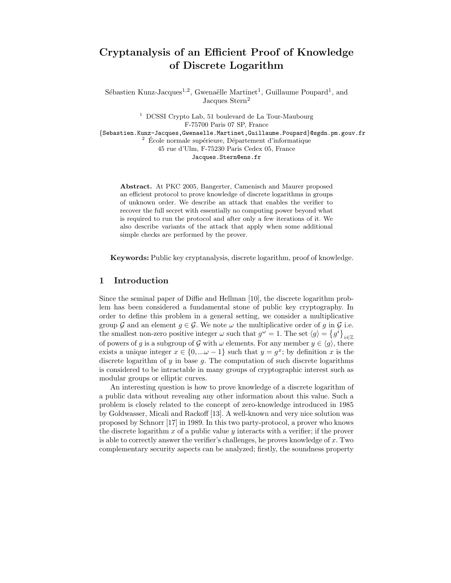# Cryptanalysis of an Efficient Proof of Knowledge of Discrete Logarithm

Sébastien Kunz-Jacques<sup>1,2</sup>, Gwenaëlle Martinet<sup>1</sup>, Guillaume Poupard<sup>1</sup>, and Jacques Stern<sup>2</sup>

<sup>1</sup> DCSSI Crypto Lab, 51 boulevard de La Tour-Maubourg F-75700 Paris 07 SP, France {Sebastien.Kunz-Jacques,Gwenaelle.Martinet,Guillaume.Poupard}@sgdn.pm.gouv.fr  $2$  École normale supérieure, Département d'informatique 45 rue d'Ulm, F-75230 Paris Cedex 05, France Jacques.Stern@ens.fr

Abstract. At PKC 2005, Bangerter, Camenisch and Maurer proposed an efficient protocol to prove knowledge of discrete logarithms in groups of unknown order. We describe an attack that enables the verifier to recover the full secret with essentially no computing power beyond what is required to run the protocol and after only a few iterations of it. We also describe variants of the attack that apply when some additional simple checks are performed by the prover.

Keywords: Public key cryptanalysis, discrete logarithm, proof of knowledge.

## 1 Introduction

Since the seminal paper of Diffie and Hellman [10], the discrete logarithm problem has been considered a fundamental stone of public key cryptography. In order to define this problem in a general setting, we consider a multiplicative group G and an element  $g \in \mathcal{G}$ . We note  $\omega$  the multiplicative order of g in G i.e. the smallest non-zero positive integer  $\omega$  such that  $g^{\omega} = 1$ . The set  $\langle g \rangle = \{g^i\}_{i \in \mathbb{Z}}$ of powers of g is a subgroup of G with  $\omega$  elements. For any member  $y \in \langle g \rangle$ , there exists a unique integer  $x \in \{0, \ldots \omega - 1\}$  such that  $y = g^x$ ; by definition x is the discrete logarithm of  $y$  in base  $g$ . The computation of such discrete logarithms is considered to be intractable in many groups of cryptographic interest such as modular groups or elliptic curves.

An interesting question is how to prove knowledge of a discrete logarithm of a public data without revealing any other information about this value. Such a problem is closely related to the concept of zero-knowledge introduced in 1985 by Goldwasser, Micali and Rackoff [13]. A well-known and very nice solution was proposed by Schnorr [17] in 1989. In this two party-protocol, a prover who knows the discrete logarithm  $x$  of a public value  $y$  interacts with a verifier; if the prover is able to correctly answer the verifier's challenges, he proves knowledge of x. Two complementary security aspects can be analyzed; firstly, the soundness property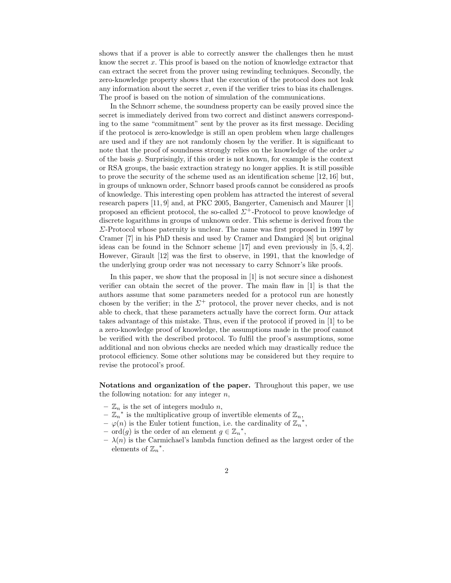shows that if a prover is able to correctly answer the challenges then he must know the secret  $x$ . This proof is based on the notion of knowledge extractor that can extract the secret from the prover using rewinding techniques. Secondly, the zero-knowledge property shows that the execution of the protocol does not leak any information about the secret  $x$ , even if the verifier tries to bias its challenges. The proof is based on the notion of simulation of the communications.

In the Schnorr scheme, the soundness property can be easily proved since the secret is immediately derived from two correct and distinct answers corresponding to the same "commitment" sent by the prover as its first message. Deciding if the protocol is zero-knowledge is still an open problem when large challenges are used and if they are not randomly chosen by the verifier. It is significant to note that the proof of soundness strongly relies on the knowledge of the order  $\omega$ of the basis g. Surprisingly, if this order is not known, for example is the context or RSA groups, the basic extraction strategy no longer applies. It is still possible to prove the security of the scheme used as an identification scheme [12, 16] but, in groups of unknown order, Schnorr based proofs cannot be considered as proofs of knowledge. This interesting open problem has attracted the interest of several research papers [11, 9] and, at PKC 2005, Bangerter, Camenisch and Maurer [1] proposed an efficient protocol, the so-called  $\Sigma^+$ -Protocol to prove knowledge of discrete logarithms in groups of unknown order. This scheme is derived from the Σ-Protocol whose paternity is unclear. The name was first proposed in 1997 by Cramer [7] in his PhD thesis and used by Cramer and Damgård [8] but original ideas can be found in the Schnorr scheme [17] and even previously in [5, 4, 2]. However, Girault [12] was the first to observe, in 1991, that the knowledge of the underlying group order was not necessary to carry Schnorr's like proofs.

In this paper, we show that the proposal in [1] is not secure since a dishonest verifier can obtain the secret of the prover. The main flaw in [1] is that the authors assume that some parameters needed for a protocol run are honestly chosen by the verifier; in the  $\Sigma^+$  protocol, the prover never checks, and is not able to check, that these parameters actually have the correct form. Our attack takes advantage of this mistake. Thus, even if the protocol if proved in [1] to be a zero-knowledge proof of knowledge, the assumptions made in the proof cannot be verified with the described protocol. To fulfil the proof's assumptions, some additional and non obvious checks are needed which may drastically reduce the protocol efficiency. Some other solutions may be considered but they require to revise the protocol's proof.

Notations and organization of the paper. Throughout this paper, we use the following notation: for any integer  $n$ ,

- $\mathbb{Z}_n$  is the set of integers modulo n,
- $-\overline{Z}_n^*$  is the multiplicative group of invertible elements of  $\mathbb{Z}_n$ ,
- $-\varphi(n)$  is the Euler totient function, i.e. the cardinality of  $\mathbb{Z}_n^*$ ,
- $-$  ord $(g)$  is the order of an element  $g \in \mathbb{Z}_n^*$ ,
- $-\lambda(n)$  is the Carmichael's lambda function defined as the largest order of the elements of  $\mathbb{Z}_n^*$ .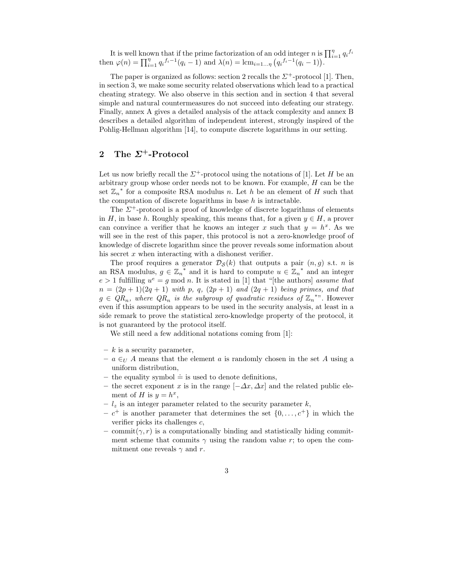It is well known that if the prime factorization of an odd integer n is  $\prod_{i=1}^{n} q_i^{f_i}$ then  $\varphi(n) = \prod_{i=1}^{n} q_i^{f_i-1}(q_i-1)$  and  $\lambda(n) = \text{lcm}_{i=1...n} (q_i^{f_i-1}(q_i-1)).$ 

The paper is organized as follows: section 2 recalls the  $\Sigma^+$ -protocol [1]. Then, in section 3, we make some security related observations which lead to a practical cheating strategy. We also observe in this section and in section 4 that several simple and natural countermeasures do not succeed into defeating our strategy. Finally, annex A gives a detailed analysis of the attack complexity and annex B describes a detailed algorithm of independent interest, strongly inspired of the Pohlig-Hellman algorithm [14], to compute discrete logarithms in our setting.

## 2 The  $\Sigma^+$ -Protocol

Let us now briefly recall the  $\Sigma^+$ -protocol using the notations of [1]. Let H be an arbitrary group whose order needs not to be known. For example,  $H$  can be the set  $\mathbb{Z}_n^*$  for a composite RSA modulus n. Let h be an element of H such that the computation of discrete logarithms in base  $h$  is intractable.

The  $\Sigma^+$ -protocol is a proof of knowledge of discrete logarithms of elements in H, in base h. Roughly speaking, this means that, for a given  $y \in H$ , a prover can convince a verifier that he knows an integer x such that  $y = h^x$ . As we will see in the rest of this paper, this protocol is not a zero-knowledge proof of knowledge of discrete logarithm since the prover reveals some information about his secret  $x$  when interacting with a dishonest verifier.

The proof requires a generator  $\mathcal{D}_{\mathcal{S}}(k)$  that outputs a pair  $(n, g)$  s.t. *n* is an RSA modulus,  $g \in \mathbb{Z}_n^*$  and it is hard to compute  $u \in \mathbb{Z}_n^*$  and an integer  $e > 1$  fulfilling  $u^e = g \mod n$ . It is stated in [1] that "[the authors] assume that  $n = (2p + 1)(2q + 1)$  with p, q,  $(2p + 1)$  and  $(2q + 1)$  being primes, and that  $g \in QR_n$ , where  $QR_n$  is the subgroup of quadratic residues of  $\mathbb{Z}_n^*$ . However even if this assumption appears to be used in the security analysis, at least in a side remark to prove the statistical zero-knowledge property of the protocol, it is not guaranteed by the protocol itself.

We still need a few additional notations coming from [1]:

- $k$  is a security parameter,
- $a \in U$  A means that the element a is randomly chosen in the set A using a uniform distribution,
- the equality symbol  $\dot{=}$  is used to denote definitions,
- the secret exponent x is in the range  $[-\Delta x, \Delta x]$  and the related public element of H is  $y = h^x$ ,
- $l_z$  is an integer parameter related to the security parameter k,
- $-c^+$  is another parameter that determines the set  $\{0, \ldots, c^+\}$  in which the verifier picks its challenges c,
- commit $(\gamma, r)$  is a computationally binding and statistically hiding commitment scheme that commits  $\gamma$  using the random value r; to open the commitment one reveals  $\gamma$  and r.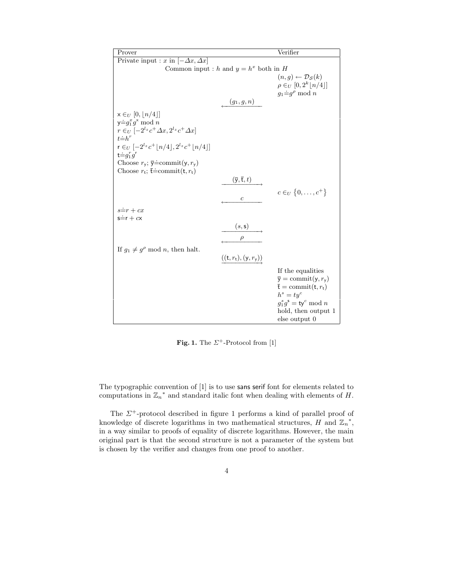| Prover                                                                                                                                                                                                                                                                                                                       |                                                             | Verifier                                                                                                                                                                                                                                  |
|------------------------------------------------------------------------------------------------------------------------------------------------------------------------------------------------------------------------------------------------------------------------------------------------------------------------------|-------------------------------------------------------------|-------------------------------------------------------------------------------------------------------------------------------------------------------------------------------------------------------------------------------------------|
| Private input : x in $[-\Delta x, \Delta x]$                                                                                                                                                                                                                                                                                 |                                                             |                                                                                                                                                                                                                                           |
| Common input : h and $y = h^x$ both in H                                                                                                                                                                                                                                                                                     |                                                             |                                                                                                                                                                                                                                           |
|                                                                                                                                                                                                                                                                                                                              | $(g_1, g, n)$                                               | $(n, g) \leftarrow \mathcal{D}_{\mathcal{S}}(k)$<br>$\rho \in_U [0, 2^k   n/4 ]$<br>$g_1 \doteq g^{\rho} \mod n$                                                                                                                          |
| $x \in_U [0,  n/4 ]$<br>$y \doteq g_1^x g^x \bmod n$<br>$r \in U$ $\left[-2^{l_z}c^+\Delta x, 2^{l_z}c^+\Delta x\right]$<br>$t = h^r$<br>$r \in U$ $[-2^{l_z} c^+  n/4 , 2^{l_z} c^+  n/4 ]$<br>$t = g_1^r g^r$<br>Choose $r_{y}$ ; $\overline{y}$ =commit $(y, r_{y})$<br>Choose $r_t$ ; $\overline{t}$ = commit $(t, r_t)$ | $(\overline{\mathsf{y}},\overline{\mathsf{t}},t)$           | $c \in U \{0, \ldots, c^+\}$                                                                                                                                                                                                              |
| $s=r+cx$<br>$s=r+cx$                                                                                                                                                                                                                                                                                                         | $\mathfrak c$<br>(s, s)<br>$\rho$                           |                                                                                                                                                                                                                                           |
| If $g_1 \neq g^{\rho}$ mod <i>n</i> , then halt.                                                                                                                                                                                                                                                                             | $((\mathsf{t},r_{\mathsf{t}}),(\mathsf{y},r_{\mathsf{y}}))$ |                                                                                                                                                                                                                                           |
|                                                                                                                                                                                                                                                                                                                              |                                                             | If the equalities<br>$\overline{y} = \text{commit}(y, r_{y})$<br>$\bar{\mathbf{t}} = \text{commit}(\mathbf{t}, r_{\mathbf{t}})$<br>$h^s = ty^c$<br>$g_1^s g^{\mathsf{s}} = \mathsf{ty}^c \bmod n$<br>hold, then output 1<br>else output 0 |

Fig. 1. The  $\Sigma^+$ -Protocol from [1]

The typographic convention of [1] is to use sans serif font for elements related to computations in  $\mathbb{Z}_n^*$  and standard italic font when dealing with elements of H.

The  $\mathit{\Sigma}^+$ -protocol described in figure 1 performs a kind of parallel proof of knowledge of discrete logarithms in two mathematical structures, H and  $\mathbb{Z}_n^*$ , in a way similar to proofs of equality of discrete logarithms. However, the main original part is that the second structure is not a parameter of the system but is chosen by the verifier and changes from one proof to another.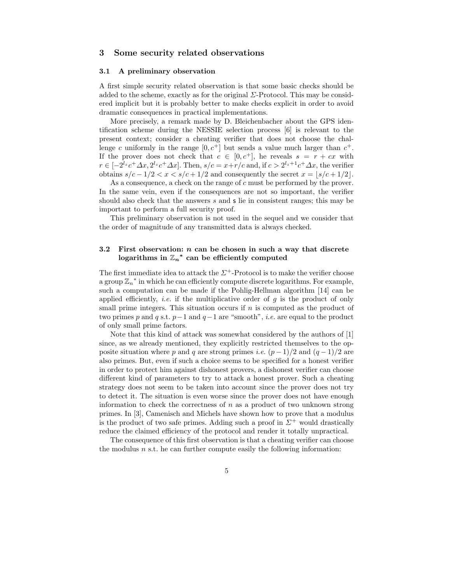## 3 Some security related observations

#### 3.1 A preliminary observation

A first simple security related observation is that some basic checks should be added to the scheme, exactly as for the original  $\Sigma$ -Protocol. This may be considered implicit but it is probably better to make checks explicit in order to avoid dramatic consequences in practical implementations.

More precisely, a remark made by D. Bleichenbacher about the GPS identification scheme during the NESSIE selection process [6] is relevant to the present context; consider a cheating verifier that does not choose the challenge c uniformly in the range  $[0, c^+]$  but sends a value much larger than  $c^+$ . If the prover does not check that  $c \in [0, c^+]$ , he reveals  $s = r + cx$  with  $r \in [-2^{l_z}c^+\Delta x, 2^{l_z}c^+\Delta x]$ . Then,  $s/c = x+r/c$  and, if  $c > 2^{l_z+1}c^+\Delta x$ , the verifier obtains  $s/c - 1/2 < x < s/c + 1/2$  and consequently the secret  $x = |s/c + 1/2|$ .

As a consequence, a check on the range of c must be performed by the prover. In the same vein, even if the consequences are not so important, the verifier should also check that the answers s and s lie in consistent ranges; this may be important to perform a full security proof.

This preliminary observation is not used in the sequel and we consider that the order of magnitude of any transmitted data is always checked.

#### 3.2 First observation:  $n$  can be chosen in such a way that discrete logarithms in  $\mathbb{Z}_n^*$  can be efficiently computed

The first immediate idea to attack the  $\Sigma^+$ -Protocol is to make the verifier choose a group  $\mathbb{Z}_n^*$  in which he can efficiently compute discrete logarithms. For example, such a computation can be made if the Pohlig-Hellman algorithm [14] can be applied efficiently, *i.e.* if the multiplicative order of  $q$  is the product of only small prime integers. This situation occurs if  $n$  is computed as the product of two primes p and q s.t.  $p-1$  and  $q-1$  are "smooth", *i.e.* are equal to the product of only small prime factors.

Note that this kind of attack was somewhat considered by the authors of [1] since, as we already mentioned, they explicitly restricted themselves to the opposite situation where p and q are strong primes *i.e.*  $(p-1)/2$  and  $(q-1)/2$  are also primes. But, even if such a choice seems to be specified for a honest verifier in order to protect him against dishonest provers, a dishonest verifier can choose different kind of parameters to try to attack a honest prover. Such a cheating strategy does not seem to be taken into account since the prover does not try to detect it. The situation is even worse since the prover does not have enough information to check the correctness of  $n$  as a product of two unknown strong primes. In [3], Camenisch and Michels have shown how to prove that a modulus is the product of two safe primes. Adding such a proof in  $\Sigma^+$  would drastically reduce the claimed efficiency of the protocol and render it totally unpractical.

The consequence of this first observation is that a cheating verifier can choose the modulus  $n$  s.t. he can further compute easily the following information: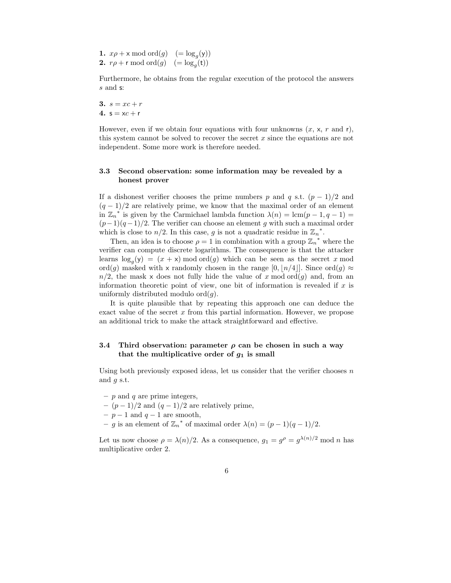**1.**  $x\rho + \mathsf{x} \mod \text{ord}(g) \quad (=\log_g(\mathsf{y}))$ **2.**  $r\rho + r \mod ord(g) \quad (=\log_g(t))$ 

Furthermore, he obtains from the regular execution of the protocol the answers s and s:

3.  $s = xc + r$ 4.  $s = xc + r$ 

However, even if we obtain four equations with four unknowns  $(x, x, r$  and r), this system cannot be solved to recover the secret  $x$  since the equations are not independent. Some more work is therefore needed.

#### 3.3 Second observation: some information may be revealed by a honest prover

If a dishonest verifier chooses the prime numbers p and q s.t.  $(p-1)/2$  and  $(q-1)/2$  are relatively prime, we know that the maximal order of an element in  $\mathbb{Z}_n^*$  is given by the Carmichael lambda function  $\lambda(n) = \text{lcm}(p-1, q-1) =$  $(p-1)(q-1)/2$ . The verifier can choose an element g with such a maximal order which is close to  $n/2$ . In this case, g is not a quadratic residue in  $\mathbb{Z}_n^*$ .

Then, an idea is to choose  $\rho = 1$  in combination with a group  $\mathbb{Z}_{n}^{*}$  where the verifier can compute discrete logarithms. The consequence is that the attacker learns  $\log_g(y) = (x + x) \mod ord(g)$  which can be seen as the secret x mod ord(g) masked with x randomly chosen in the range [0, | $n/4$ ]. Since ord(g)  $\approx$  $n/2$ , the mask x does not fully hide the value of x mod ord(g) and, from an information theoretic point of view, one bit of information is revealed if  $x$  is uniformly distributed modulo  $\text{ord}(g)$ .

It is quite plausible that by repeating this approach one can deduce the exact value of the secret  $x$  from this partial information. However, we propose an additional trick to make the attack straightforward and effective.

#### 3.4 Third observation: parameter  $\rho$  can be chosen in such a way that the multiplicative order of  $g_1$  is small

Using both previously exposed ideas, let us consider that the verifier chooses  $n$ and  $q$  s.t.

- $p$  and  $q$  are prime integers,
- $(p-1)/2$  and  $(q-1)/2$  are relatively prime,
- $p-1$  and  $q-1$  are smooth,
- − g is an element of  $\mathbb{Z}_n^*$  of maximal order  $\lambda(n) = (p-1)(q-1)/2$ .

Let us now choose  $\rho = \lambda(n)/2$ . As a consequence,  $g_1 = g^{\rho} = g^{\lambda(n)/2} \text{ mod } n$  has multiplicative order 2.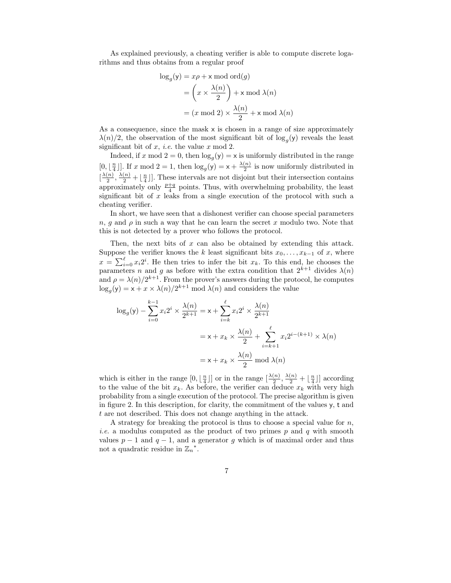As explained previously, a cheating verifier is able to compute discrete logarithms and thus obtains from a regular proof

$$
\log_g(y) = x\rho + x \mod \text{ord}(g)
$$

$$
= \left(x \times \frac{\lambda(n)}{2}\right) + x \mod \lambda(n)
$$

$$
= (x \mod 2) \times \frac{\lambda(n)}{2} + x \mod \lambda(n)
$$

As a consequence, since the mask  $x$  is chosen in a range of size approximately  $\lambda(n)/2$ , the observation of the most significant bit of  $\log_g(y)$  reveals the least significant bit of  $x$ , *i.e.* the value  $x \mod 2$ .

Indeed, if x mod  $2 = 0$ , then  $\log_g(y) = x$  is uniformly distributed in the range  $[0, \lfloor \frac{n}{4} \rfloor]$ . If x mod  $2 = 1$ , then  $\log_g(y) = x + \frac{\lambda(n)}{2}$  $\frac{1}{2}$  is now uniformly distributed in  $\left[\frac{\lambda(n)}{2}\right]$  $\frac{(n)}{2}, \frac{\lambda(n)}{2} + \lfloor \frac{n}{4} \rfloor$ . These intervals are not disjoint but their intersection contains approximately only  $\frac{p+q}{4}$  points. Thus, with overwhelming probability, the least significant bit of  $x$  leaks from a single execution of the protocol with such a cheating verifier.

In short, we have seen that a dishonest verifier can choose special parameters  $n, g$  and  $\rho$  in such a way that he can learn the secret x modulo two. Note that this is not detected by a prover who follows the protocol.

Then, the next bits of  $x$  can also be obtained by extending this attack. Suppose the verifier knows the k least significant bits  $x_0, \ldots, x_{k-1}$  of x, where  $x = \sum_{i=0}^{\ell} x_i 2^i$ . He then tries to infer the bit  $x_k$ . To this end, he chooses the parameters n and g as before with the extra condition that  $2^{k+1}$  divides  $\lambda(n)$ and  $\rho = \lambda(n)/2^{k+1}$ . From the prover's answers during the protocol, he computes  $\log_g(y) = x + x \times \lambda(n)/2^{k+1}$  mod  $\lambda(n)$  and considers the value

$$
\log_g(y) - \sum_{i=0}^{k-1} x_i 2^i \times \frac{\lambda(n)}{2^{k+1}} = x + \sum_{i=k}^{\ell} x_i 2^i \times \frac{\lambda(n)}{2^{k+1}}
$$

$$
= x + x_k \times \frac{\lambda(n)}{2} + \sum_{i=k+1}^{\ell} x_i 2^{i-(k+1)} \times \lambda(n)
$$

$$
= x + x_k \times \frac{\lambda(n)}{2} \mod \lambda(n)
$$

which is either in the range  $[0, \lfloor \frac{n}{4} \rfloor]$  or in the range  $\lfloor \frac{\lambda(n)}{2} \rfloor$  $\left[\frac{(n)}{2},\frac{\lambda(n)}{2}+\lfloor \frac{n}{4}\rfloor\right]$  according to the value of the bit  $x_k$ . As before, the verifier can deduce  $x_k$  with very high probability from a single execution of the protocol. The precise algorithm is given in figure 2. In this description, for clarity, the commitment of the values y, t and t are not described. This does not change anything in the attack.

A strategy for breaking the protocol is thus to choose a special value for  $n$ , *i.e.* a modulus computed as the product of two primes  $p$  and  $q$  with smooth values  $p-1$  and  $q-1$ , and a generator g which is of maximal order and thus not a quadratic residue in  $\mathbb{Z}_n^*$ .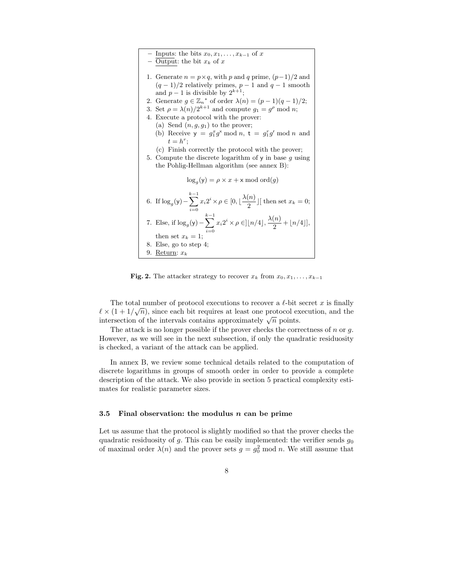Inputs: the bits  $x_0, x_1, \ldots, x_{k-1}$  of x – Output: the bit  $x_k$  of x 1. Generate  $n = p \times q$ , with p and q prime,  $(p-1)/2$  and  $(q-1)/2$  relatively primes,  $p-1$  and  $q-1$  smooth and  $p-1$  is divisible by  $2^{k+1}$ ; 2. Generate  $g \in \mathbb{Z}_n^*$  of order  $\lambda(n) = (p-1)(q-1)/2;$ 3. Set  $\rho = \lambda(n)/2^{k+1}$  and compute  $g_1 = g^{\rho} \mod n$ ; 4. Execute a protocol with the prover: (a) Send  $(n, g, g_1)$  to the prover; (b) Receive  $y = g_1^x g^x \mod n$ ,  $t = g_1^r g^r \mod n$  and  $t = h^r;$ (c) Finish correctly the protocol with the prover; 5. Compute the discrete logarithm of  $\gamma$  in base q using the Pohlig-Hellman algorithm (see annex B):  $\log_g(y) = \rho \times x + x \mod{ord(g)}$ 6. If  $\log_g(y)$  –  $\sum^{k-1}$  $i=0$  $x_i 2^i \times \rho \in [0, \lfloor \frac{\lambda(n)}{2} \rfloor]$  $\frac{c^{(k)}}{2}$ ] [then set  $x_k = 0$ ; 7. Else, if  $\log_g(y)$  –  $\sum^{k-1}$  $i=0$  $x_i 2^i \times \rho \in ]\lfloor n/4 \rfloor, \frac{\lambda(n)}{2}$  $\frac{1}{2} + \lfloor n/4 \rfloor,$ then set  $x_k = 1$ 8. Else, go to step 4; 9. Return:  $x_k$ 

Fig. 2. The attacker strategy to recover  $x_k$  from  $x_0, x_1, \ldots, x_{k-1}$ 

The total number of protocol executions to recover a  $\ell$ -bit secret x is finally  $\ell \times (1 + 1/\sqrt{n})$ , since each bit requires at least one protocol execution, and the intersection of the intervals contains approximately  $\sqrt{n}$  points.

The attack is no longer possible if the prover checks the correctness of n or  $q$ . However, as we will see in the next subsection, if only the quadratic residuosity is checked, a variant of the attack can be applied.

In annex B, we review some technical details related to the computation of discrete logarithms in groups of smooth order in order to provide a complete description of the attack. We also provide in section 5 practical complexity estimates for realistic parameter sizes.

#### 3.5 Final observation: the modulus  $n$  can be prime

Let us assume that the protocol is slightly modified so that the prover checks the quadratic residuosity of g. This can be easily implemented: the verifier sends  $g_0$ of maximal order  $\lambda(n)$  and the prover sets  $g = g_0^2 \text{ mod } n$ . We still assume that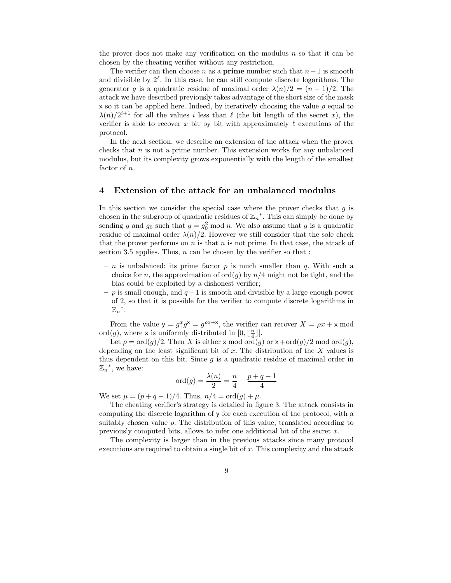the prover does not make any verification on the modulus  $n$  so that it can be chosen by the cheating verifier without any restriction.

The verifier can then choose n as a **prime** number such that  $n-1$  is smooth and divisible by  $2^{\ell}$ . In this case, he can still compute discrete logarithms. The generator g is a quadratic residue of maximal order  $\lambda(n)/2 = (n-1)/2$ . The attack we have described previously takes advantage of the short size of the mask x so it can be applied here. Indeed, by iteratively choosing the value  $\rho$  equal to  $\lambda(n)/2^{i+1}$  for all the values i less than  $\ell$  (the bit length of the secret x), the verifier is able to recover x bit by bit with approximately  $\ell$  executions of the protocol.

In the next section, we describe an extension of the attack when the prover checks that  $n$  is not a prime number. This extension works for any unbalanced modulus, but its complexity grows exponentially with the length of the smallest factor of n.

## 4 Extension of the attack for an unbalanced modulus

In this section we consider the special case where the prover checks that  $q$  is chosen in the subgroup of quadratic residues of  $\mathbb{Z}_n^*$ . This can simply be done by sending g and  $g_0$  such that  $g = g_0^2 \text{ mod } n$ . We also assume that g is a quadratic residue of maximal order  $\lambda(n)/2$ . However we still consider that the sole check that the prover performs on  $n$  is that  $n$  is not prime. In that case, the attack of section 3.5 applies. Thus,  $n$  can be chosen by the verifier so that :

- n is unbalanced: its prime factor p is much smaller than q. With such a choice for n, the approximation of  $\text{ord}(g)$  by  $n/4$  might not be tight, and the bias could be exploited by a dishonest verifier;
- $-p$  is small enough, and  $q-1$  is smooth and divisible by a large enough power of 2, so that it is possible for the verifier to compute discrete logarithms in  $\mathbb{Z}_n$ <sup>\*</sup>.

From the value  $y = g_1^x g^x = g^{\rho x + x}$ , the verifier can recover  $X = \rho x + x \mod \rho$ ord(g), where x is uniformly distributed in  $[0, \lfloor \frac{n}{4} \rfloor].$ 

Let  $\rho = \text{ord}(q)/2$ . Then X is either x mod ord(q) or  $x + \text{ord}(q)/2$  mod ord(q), depending on the least significant bit of  $x$ . The distribution of the  $X$  values is thus dependent on this bit. Since  $g$  is a quadratic residue of maximal order in  $\mathbb{Z}_n^*$ , we have:

$$
ord(g) = \frac{\lambda(n)}{2} = \frac{n}{4} - \frac{p+q-1}{4}
$$

We set  $\mu = (p + q - 1)/4$ . Thus,  $n/4 = \text{ord}(g) + \mu$ .

The cheating verifier's strategy is detailed in figure 3. The attack consists in computing the discrete logarithm of y for each execution of the protocol, with a suitably chosen value  $\rho$ . The distribution of this value, translated according to previously computed bits, allows to infer one additional bit of the secret  $x$ .

The complexity is larger than in the previous attacks since many protocol executions are required to obtain a single bit of  $x$ . This complexity and the attack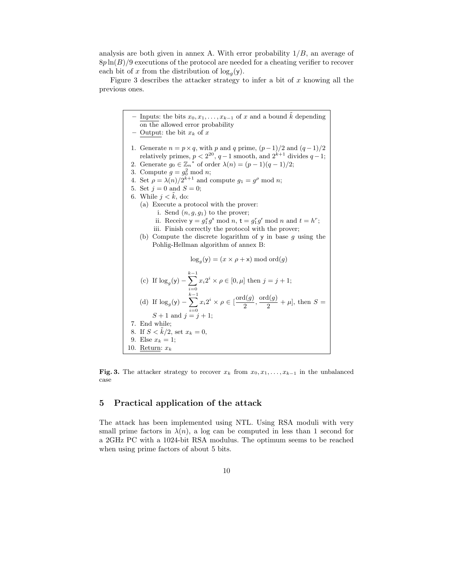analysis are both given in annex A. With error probability  $1/B$ , an average of  $8p \ln(B)/9$  executions of the protocol are needed for a cheating verifier to recover each bit of x from the distribution of  $\log_g(y)$ .

Figure 3 describes the attacker strategy to infer a bit of  $x$  knowing all the previous ones.

Inputs: the bits  $x_0, x_1, \ldots, x_{k-1}$  of x and a bound  $\tilde{k}$  depending on the allowed error probability – Output: the bit  $x_k$  of  $x$ 1. Generate  $n = p \times q$ , with p and q prime,  $(p-1)/2$  and  $(q-1)/2$ relatively primes,  $p < 2^{20}$ ,  $q-1$  smooth, and  $2^{k+1}$  divides  $q-1$ ; 2. Generate  $g_0 \in \mathbb{Z}_n^*$  of order  $\lambda(n) = (p-1)(q-1)/2;$ 3. Compute  $g = g_0^2 \text{ mod } n$ ; 4. Set  $\rho = \lambda(n)/2^{k+1}$  and compute  $g_1 = g^{\rho} \mod n$ ; 5. Set  $j = 0$  and  $S = 0$ ; 6. While  $j < \tilde{k}$ , do: (a) Execute a protocol with the prover: i. Send  $(n, g, g_1)$  to the prover; ii. Receive  $y = g_1^x g^x \mod n$ ,  $t = g_1^r g^r \mod n$  and  $t = h^r$ ; iii. Finish correctly the protocol with the prover; (b) Compute the discrete logarithm of  $y$  in base q using the Pohlig-Hellman algorithm of annex B:  $\log_g(y) = (x \times \rho + x) \mod{ord(g)}$ (c) If  $\log_g(y)$  –  $\sum^{k-1}$  $i=0$  $x_i 2^i \times \rho \in [0, \mu]$  then  $j = j + 1$ ; (d) If  $\log_g(y)$  –  $\sum_{i=1}^{k-1} x_i 2^i \times \rho \in [\frac{\text{ord}(g)}{2}]$  $S + 1$  and  $j = j + 1$ ;  $\frac{\mathrm{d}(g)}{2}, \frac{\mathrm{ord}(g)}{2}$  $\frac{x(y)}{2} + \mu$ , then  $S =$ 7. End while; 8. If  $S < \tilde{k}/2$ , set  $x_k = 0$ , 9. Else  $x_k = 1$ ; 10. Return:  $x_k$ 

Fig. 3. The attacker strategy to recover  $x_k$  from  $x_0, x_1, \ldots, x_{k-1}$  in the unbalanced case

## 5 Practical application of the attack

The attack has been implemented using NTL. Using RSA moduli with very small prime factors in  $\lambda(n)$ , a log can be computed in less than 1 second for a 2GHz PC with a 1024-bit RSA modulus. The optimum seems to be reached when using prime factors of about 5 bits.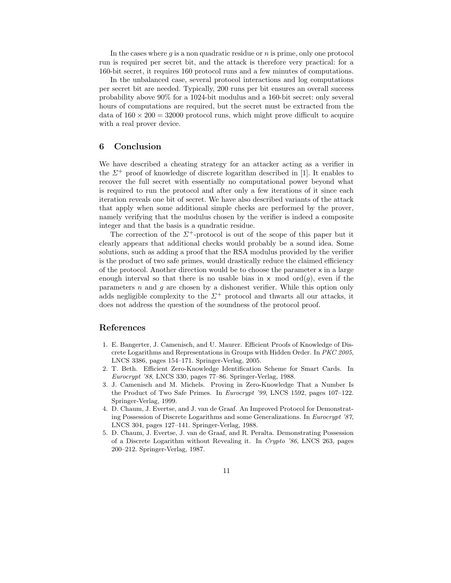In the cases where  $q$  is a non quadratic residue or  $n$  is prime, only one protocol run is required per secret bit, and the attack is therefore very practical: for a 160-bit secret, it requires 160 protocol runs and a few minutes of computations.

In the unbalanced case, several protocol interactions and log computations per secret bit are needed. Typically, 200 runs per bit ensures an overall success probability above 90% for a 1024-bit modulus and a 160-bit secret: only several hours of computations are required, but the secret must be extracted from the data of  $160 \times 200 = 32000$  protocol runs, which might prove difficult to acquire with a real prover device.

## 6 Conclusion

We have described a cheating strategy for an attacker acting as a verifier in the  $\Sigma^+$  proof of knowledge of discrete logarithm described in [1]. It enables to recover the full secret with essentially no computational power beyond what is required to run the protocol and after only a few iterations of it since each iteration reveals one bit of secret. We have also described variants of the attack that apply when some additional simple checks are performed by the prover, namely verifying that the modulus chosen by the verifier is indeed a composite integer and that the basis is a quadratic residue.

The correction of the  $\Sigma^+$ -protocol is out of the scope of this paper but it clearly appears that additional checks would probably be a sound idea. Some solutions, such as adding a proof that the RSA modulus provided by the verifier is the product of two safe primes, would drastically reduce the claimed efficiency of the protocol. Another direction would be to choose the parameter  $x$  in a large enough interval so that there is no usable bias in x mod  $\text{ord}(g)$ , even if the parameters  $n$  and  $q$  are chosen by a dishonest verifier. While this option only adds negligible complexity to the  $\Sigma^+$  protocol and thwarts all our attacks, it does not address the question of the soundness of the protocol proof.

## References

- 1. E. Bangerter, J. Camenisch, and U. Maurer. Efficient Proofs of Knowledge of Discrete Logarithms and Representations in Groups with Hidden Order. In PKC 2005, LNCS 3386, pages 154–171. Springer-Verlag, 2005.
- 2. T. Beth. Efficient Zero-Knowledge Identification Scheme for Smart Cards. In Eurocrypt '88, LNCS 330, pages 77–86. Springer-Verlag, 1988.
- 3. J. Camenisch and M. Michels. Proving in Zero-Knowledge That a Number Is the Product of Two Safe Primes. In Eurocrypt '99, LNCS 1592, pages 107–122. Springer-Verlag, 1999.
- 4. D. Chaum, J. Evertse, and J. van de Graaf. An Improved Protocol for Demonstrating Possession of Discrete Logarithms and some Generalizations. In Eurocrypt '87, LNCS 304, pages 127–141. Springer-Verlag, 1988.
- 5. D. Chaum, J. Evertse, J. van de Graaf, and R. Peralta. Demonstrating Possession of a Discrete Logarithm without Revealing it. In Crypto '86, LNCS 263, pages 200–212. Springer-Verlag, 1987.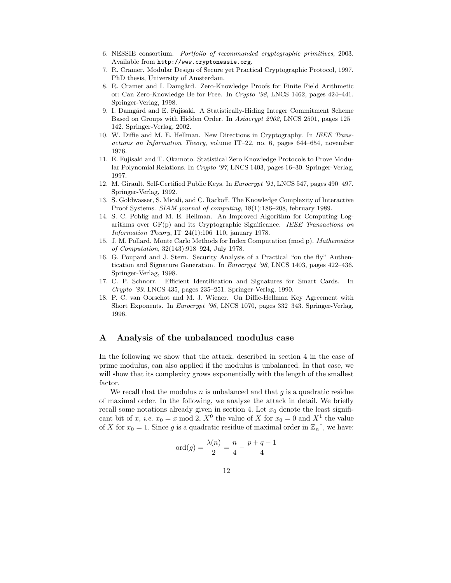- 6. NESSIE consortium. Portfolio of recommanded cryptographic primitives, 2003. Available from http://www.cryptonessie.org.
- 7. R. Cramer. Modular Design of Secure yet Practical Cryptographic Protocol, 1997. PhD thesis, University of Amsterdam.
- 8. R. Cramer and I. Damgård. Zero-Knowledge Proofs for Finite Field Arithmetic or: Can Zero-Knowledge Be for Free. In Crypto '98, LNCS 1462, pages 424–441. Springer-Verlag, 1998.
- 9. I. Damgård and E. Fujisaki. A Statistically-Hiding Integer Commitment Scheme Based on Groups with Hidden Order. In Asiacrypt 2002, LNCS 2501, pages 125– 142. Springer-Verlag, 2002.
- 10. W. Diffie and M. E. Hellman. New Directions in Cryptography. In IEEE Transactions on Information Theory, volume IT–22, no. 6, pages 644–654, november 1976.
- 11. E. Fujisaki and T. Okamoto. Statistical Zero Knowledge Protocols to Prove Modular Polynomial Relations. In Crypto '97, LNCS 1403, pages 16–30. Springer-Verlag, 1997.
- 12. M. Girault. Self-Certified Public Keys. In Eurocrypt '91, LNCS 547, pages 490–497. Springer-Verlag, 1992.
- 13. S. Goldwasser, S. Micali, and C. Rackoff. The Knowledge Complexity of Interactive Proof Systems. SIAM journal of computing, 18(1):186–208, february 1989.
- 14. S. C. Pohlig and M. E. Hellman. An Improved Algorithm for Computing Logarithms over  $GF(p)$  and its Cryptographic Significance. IEEE Transactions on Information Theory, IT-24(1):106-110, january 1978.
- 15. J. M. Pollard. Monte Carlo Methods for Index Computation (mod p). Mathematics of Computation, 32(143):918–924, July 1978.
- 16. G. Poupard and J. Stern. Security Analysis of a Practical "on the fly" Authentication and Signature Generation. In Eurocrypt '98, LNCS 1403, pages 422–436. Springer-Verlag, 1998.
- 17. C. P. Schnorr. Efficient Identification and Signatures for Smart Cards. In Crypto '89, LNCS 435, pages 235–251. Springer-Verlag, 1990.
- 18. P. C. van Oorschot and M. J. Wiener. On Diffie-Hellman Key Agreement with Short Exponents. In Eurocrypt '96, LNCS 1070, pages 332–343. Springer-Verlag, 1996.

## A Analysis of the unbalanced modulus case

In the following we show that the attack, described in section 4 in the case of prime modulus, can also applied if the modulus is unbalanced. In that case, we will show that its complexity grows exponentially with the length of the smallest factor.

We recall that the modulus  $n$  is unbalanced and that  $q$  is a quadratic residue of maximal order. In the following, we analyze the attack in detail. We briefly recall some notations already given in section 4. Let  $x_0$  denote the least significant bit of x, *i.e.*  $x_0 = x \mod 2$ ,  $X^0$  the value of X for  $x_0 = 0$  and  $X^1$  the value of X for  $x_0 = 1$ . Since g is a quadratic residue of maximal order in  $\mathbb{Z}_n^*$ , we have:

$$
ord(g) = \frac{\lambda(n)}{2} = \frac{n}{4} - \frac{p+q-1}{4}
$$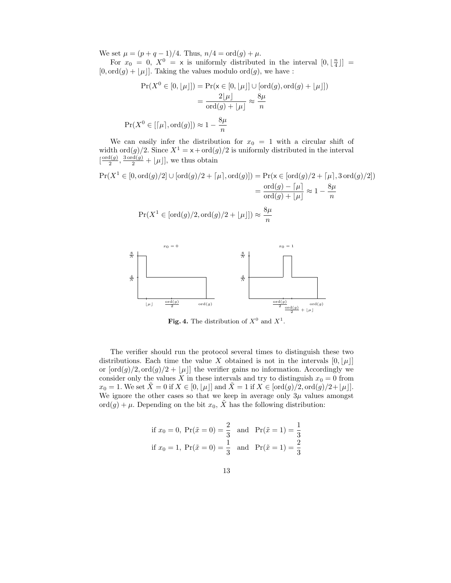We set  $\mu = (p + q - 1)/4$ . Thus,  $n/4 = \text{ord}(g) + \mu$ .

For  $x_0 = 0$ ,  $X^0 = \times$  is uniformly distributed in the interval  $[0, \lfloor \frac{n}{4} \rfloor] =$  $[0, \text{ord}(g) + \lfloor \mu \rfloor]$ . Taking the values modulo ord $(g)$ , we have :

$$
Pr(X^{0} \in [0, \lfloor \mu \rfloor]) = Pr(\mathbf{x} \in [0, \lfloor \mu \rfloor] \cup [\text{ord}(g), \text{ord}(g) + \lfloor \mu \rfloor])
$$

$$
= \frac{2 \lfloor \mu \rfloor}{\text{ord}(g) + \lfloor \mu \rfloor} \approx \frac{8\mu}{n}
$$

$$
Pr(X^{0} \in [\lceil \mu \rceil, \text{ord}(g)]) \approx 1 - \frac{8\mu}{n}
$$

We can easily infer the distribution for  $x_0 = 1$  with a circular shift of width ord $(g)/2$ . Since  $X^1 = x + \text{ord}(g)/2$  is uniformly distributed in the interval  $\left[\frac{\text{ord}(g)}{2}\right]$  $\frac{d(g)}{2}, \frac{3 \text{ ord}(g)}{2} + \lfloor \mu \rfloor$ , we thus obtain

$$
Pr(X^1 \in [0, \text{ord}(g)/2] \cup [\text{ord}(g)/2 + \lceil \mu \rceil, \text{ord}(g)] ) = Pr(\mathbf{x} \in [\text{ord}(g)/2 + \lceil \mu \rceil, 3 \text{ ord}(g)/2])
$$
  
= 
$$
\frac{\text{ord}(g) - \lceil \mu \rceil}{\text{ord}(g) + \lfloor \mu \rfloor} \approx 1 - \frac{8\mu}{n}
$$
  

$$
Pr(X^1 \in [\text{ord}(g)/2, \text{ord}(g)/2 + \lfloor \mu \rfloor]) \approx \frac{8\mu}{n}
$$



**Fig. 4.** The distribution of  $X^0$  and  $X^1$ .

The verifier should run the protocol several times to distinguish these two distributions. Each time the value X obtained is not in the intervals  $[0, |\mu|]$ or  $[\text{ord}(g)/2, \text{ord}(g)/2 + \lfloor \mu \rfloor]$  the verifier gains no information. Accordingly we consider only the values X in these intervals and try to distinguish  $x_0 = 0$  from  $x_0 = 1$ . We set  $\bar{X} = 0$  if  $X \in [0, |\mu|]$  and  $\bar{X} = 1$  if  $X \in [\text{ord}(g)/2, \text{ord}(g)/2+|\mu|]$ . We ignore the other cases so that we keep in average only  $3\mu$  values amongst ord $(g) + \mu$ . Depending on the bit  $x_0$ ,  $\tilde{X}$  has the following distribution:

if 
$$
x_0 = 0
$$
,  $Pr(\tilde{x} = 0) = \frac{2}{3}$  and  $Pr(\tilde{x} = 1) = \frac{1}{3}$   
if  $x_0 = 1$ ,  $Pr(\tilde{x} = 0) = \frac{1}{3}$  and  $Pr(\tilde{x} = 1) = \frac{2}{3}$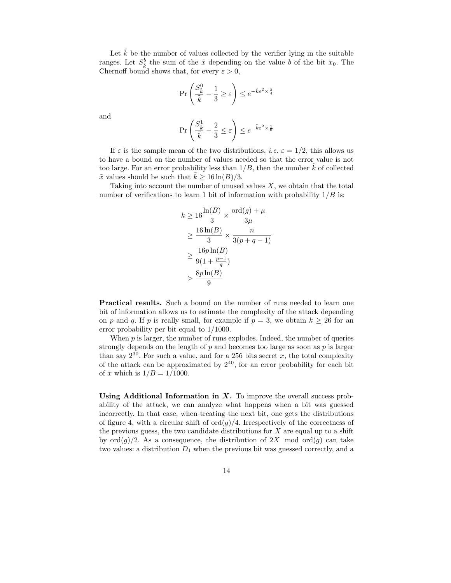Let  $\tilde{k}$  be the number of values collected by the verifier lying in the suitable ranges. Let  $S_{\vec{k}}^b$  the sum of the  $\tilde{x}$  depending on the value b of the bit  $x_0$ . The Chernoff bound shows that, for every  $\varepsilon > 0$ ,

$$
\Pr\left(\frac{S_{\tilde{k}}^0}{\tilde{k}} - \frac{1}{3} \ge \varepsilon\right) \le e^{-\tilde{k}\varepsilon^2 \times \frac{3}{4}}
$$

and

$$
\Pr\left(\frac{S_{\tilde{k}}^1}{\tilde{k}} - \frac{2}{3} \le \varepsilon\right) \le e^{-\tilde{k}\varepsilon^2 \times \frac{1}{6}}
$$

If  $\varepsilon$  is the sample mean of the two distributions, *i.e.*  $\varepsilon = 1/2$ , this allows us to have a bound on the number of values needed so that the error value is not too large. For an error probability less than  $1/B$ , then the number  $k$  of collected  $\tilde{x}$  values should be such that  $k \geq 16 \ln(B)/3$ .

Taking into account the number of unused values  $X$ , we obtain that the total number of verifications to learn 1 bit of information with probability  $1/B$  is:

$$
k \ge 16 \frac{\ln(B)}{3} \times \frac{\text{ord}(g) + \mu}{3\mu}
$$
  
\n
$$
\ge \frac{16 \ln(B)}{3} \times \frac{n}{3(p+q-1)}
$$
  
\n
$$
\ge \frac{16p \ln(B)}{9(1 + \frac{p-1}{q})}
$$
  
\n
$$
> \frac{8p \ln(B)}{9}
$$

Practical results. Such a bound on the number of runs needed to learn one bit of information allows us to estimate the complexity of the attack depending on p and q. If p is really small, for example if  $p = 3$ , we obtain  $k \ge 26$  for an error probability per bit equal to 1/1000.

When  $p$  is larger, the number of runs explodes. Indeed, the number of queries strongly depends on the length of  $p$  and becomes too large as soon as  $p$  is larger than say  $2^{30}$ . For such a value, and for a 256 bits secret x, the total complexity of the attack can be approximated by  $2^{40}$ , for an error probability for each bit of x which is  $1/B = 1/1000$ .

Using Additional Information in  $X$ . To improve the overall success probability of the attack, we can analyze what happens when a bit was guessed incorrectly. In that case, when treating the next bit, one gets the distributions of figure 4, with a circular shift of  $\text{ord}(g)/4$ . Irrespectively of the correctness of the previous guess, the two candidate distributions for  $X$  are equal up to a shift by  $\text{ord}(q)/2$ . As a consequence, the distribution of  $2X$  mod  $\text{ord}(q)$  can take two values: a distribution  $D_1$  when the previous bit was guessed correctly, and a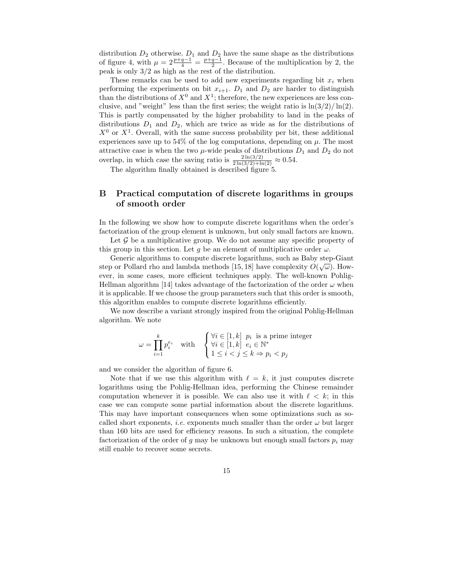distribution  $D_2$  otherwise.  $D_1$  and  $D_2$  have the same shape as the distributions of figure 4, with  $\mu = 2\frac{p+q-1}{4} = \frac{p+q-1}{2}$ . Because of the multiplication by 2, the peak is only 3/2 as high as the rest of the distribution.

These remarks can be used to add new experiments regarding bit  $x_i$  when performing the experiments on bit  $x_{i+1}$ .  $D_1$  and  $D_2$  are harder to distinguish than the distributions of  $X^0$  and  $X^1$ ; therefore, the new experiences are less conclusive, and "weight" less than the first series; the weight ratio is  $\ln(3/2)/\ln(2)$ . This is partly compensated by the higher probability to land in the peaks of distributions  $D_1$  and  $D_2$ , which are twice as wide as for the distributions of  $X^0$  or  $X^1$ . Overall, with the same success probability per bit, these additional experiences save up to 54% of the log computations, depending on  $\mu$ . The most attractive case is when the two  $\mu$ -wide peaks of distributions  $D_1$  and  $D_2$  do not overlap, in which case the saving ratio is  $\frac{2 \ln(3/2)}{2 \ln(3/2) + \ln(2)} \approx 0.54$ .

The algorithm finally obtained is described figure 5.

## B Practical computation of discrete logarithms in groups of smooth order

In the following we show how to compute discrete logarithms when the order's factorization of the group element is unknown, but only small factors are known.

Let  $\mathcal G$  be a multiplicative group. We do not assume any specific property of this group in this section. Let g be an element of multiplicative order  $\omega$ .

Generic algorithms to compute discrete logarithms, such as Baby step-Giant step or Pollard rho and lambda methods [15, 18] have complexity  $O(\sqrt{\omega})$ . However, in some cases, more efficient techniques apply. The well-known Pohlig-Hellman algorithm [14] takes advantage of the factorization of the order  $\omega$  when it is applicable. If we choose the group parameters such that this order is smooth, this algorithm enables to compute discrete logarithms efficiently.

We now describe a variant strongly inspired from the original Pohlig-Hellman algorithm. We note

$$
\omega = \prod_{i=1}^{k} p_i^{e_i} \quad \text{with} \quad \begin{cases} \forall i \in [1, k] \ p_i \text{ is a prime integer} \\ \forall i \in [1, k] \ e_i \in \mathbb{N}^* \\ 1 \le i < j \le k \Rightarrow p_i < p_j \end{cases}
$$

and we consider the algorithm of figure 6.

Note that if we use this algorithm with  $\ell = k$ , it just computes discrete logarithms using the Pohlig-Hellman idea, performing the Chinese remainder computation whenever it is possible. We can also use it with  $\ell < k$ ; in this case we can compute some partial information about the discrete logarithms. This may have important consequences when some optimizations such as socalled short exponents, *i.e.* exponents much smaller than the order  $\omega$  but larger than 160 bits are used for efficiency reasons. In such a situation, the complete factorization of the order of g may be unknown but enough small factors  $p_i$  may still enable to recover some secrets.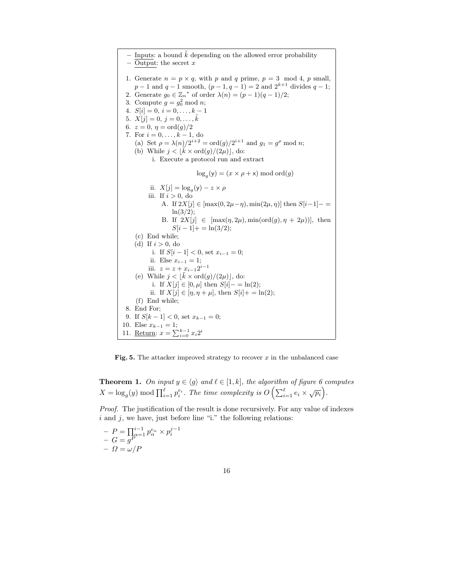$-$  Inputs: a bound  $k$  depending on the allowed error probability – Output: the secret  $x$ 1. Generate  $n = p \times q$ , with p and q prime,  $p = 3 \mod 4$ , p small,  $p-1$  and  $q-1$  smooth,  $(p-1, q-1) = 2$  and  $2^{k+1}$  divides  $q-1$ ; 2. Generate  $g_0 \in \mathbb{Z}_n^*$  of order  $\lambda(n) = (p-1)(q-1)/2;$ 3. Compute  $g = g_0^2 \text{ mod } n$ ; 4.  $S[i] = 0, i = 0, \ldots, k - 1$ 5.  $X[j] = 0, j = 0, \ldots, \tilde{k}$ 6.  $z = 0, \eta = \text{ord}(g)/2$ 7. For  $i = 0, \ldots, k - 1$ , do (a) Set  $\rho = \lambda(n)/2^{i+2} = \text{ord}(g)/2^{i+1}$  and  $g_1 = g^{\rho} \text{ mod } n$ ; (b) While  $j < |\tilde{k} \times \text{ord}(g)/(2\mu)|$ , do: i. Execute a protocol run and extract  $\log_g(y) = (x \times \rho + x) \mod{ord(g)}$ ii.  $X[j] = \log_g(y) - z \times \rho$ iii. If  $i > 0$ , do A. If  $2X[j] \in [\max(0, 2\mu - \eta), \min(2\mu, \eta)]$  then  $S[i-1]$  $ln(3/2)$ ; B. If  $2X[j] \in [\max(\eta, 2\mu), \min(\text{ord}(g), \eta + 2\mu))]$ , then  $S[i - 1]$  + = ln(3/2); (c) End while; (d) If  $i > 0$ , do i. If  $S[i-1] < 0$ , set  $x_{i-1} = 0$ ; ii. Else  $x_{i-1} = 1$ ; iii.  $z = z + x_{i-1}2^{i-1}$ (e) While  $j < |\tilde{k} \times \text{ord}(g)/(2\mu)|$ , do: i. If  $X[j] \in [0, \mu]$  then  $S[i] - = \ln(2);$ ii. If  $X[j] \in [\eta, \eta + \mu]$ , then  $S[i] + \ln(2)$ ; (f) End while; 8. End For; 9. If  $S[k-1] < 0$ , set  $x_{k-1} = 0$ ; 10. Else  $x_{k-1} = 1$ ; 11. <u>Return</u>:  $x = \sum_{i=0}^{k-1} x_i 2$  $x_i 2^i$ 

Fig. 5. The attacker improved strategy to recover  $x$  in the unbalanced case

**Theorem 1.** On input  $y \in \langle g \rangle$  and  $\ell \in [1, k]$ , the algorithm of figure 6 computes  $X = \log_g(y) \mod \prod_{i=1}^{\ell} p_i^{e_i}$ . The time complexity is  $O\left(\sum_{i=1}^{\ell} e_i \times \sqrt{p_i}\right)$ .

Proof. The justification of the result is done recursively. For any value of indexes  $i$  and  $j$ , we have, just before line "i." the following relations:

$$
- P = \prod_{\alpha=1}^{i-1} p_{\alpha}^{e_{\alpha}} \times p_{i}^{j-1}
$$
  
- G = g<sup>P</sup>  
-  $\Omega = \omega/P$